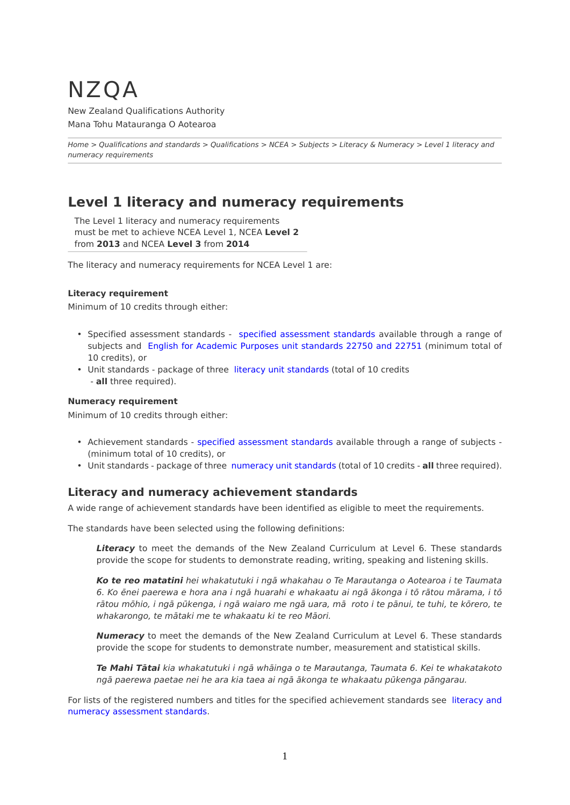# NZQA

New Zealand Qualifications Authority Mana Tohu Matauranga O Aotearoa

*[Home](http://www.nzqa.govt.nz/home) > [Qualifications and standards](http://www.nzqa.govt.nz/qualifications-standards/) > [Qualifications](http://www.nzqa.govt.nz/qualifications-standards/qualifications/) > [NCEA](http://www.nzqa.govt.nz/qualifications-standards/qualifications/ncea/) > [Subjects](http://www.nzqa.govt.nz/qualifications-standards/qualifications/ncea/subjects/) > [Literacy & Numeracy](http://www.nzqa.govt.nz/qualifications-standards/qualifications/ncea/subjects/literacy-and-numeracy/) > Level 1 literacy and numeracy requirements*

# **Level 1 literacy and numeracy requirements**

The Level 1 literacy and numeracy requirements must be met to achieve NCEA Level 1, NCEA **Level 2** from **2013** and NCEA **Level 3** from **2014**

The literacy and numeracy requirements for NCEA Level 1 are:

#### **Literacy requirement**

Minimum of 10 credits through either:

- Specified assessment standards [specified assessment standards](http://www.nzqa.govt.nz/qualifications-standards/qualifications/ncea/subjects/literacy-and-numeracy/level-1-requirements/lit-num-subjects/) available through a range of subjects and [English for Academic Purposes unit standards 22750 and 22751](http://www.nzqa.govt.nz/framework/explore/domain.do?frameworkId=2011717366) (minimum total of 10 credits), or
- Unit standards package of three [literacy unit standards](http://www.nzqa.govt.nz/qualifications-standards/qualifications/ncea/subjects/literacy-and-numeracy/literacy-and-numeracy-unit-standards/) (total of 10 credits - **all** three required).

#### **Numeracy requirement**

Minimum of 10 credits through either:

- Achievement standards [specified assessment standards](http://www.nzqa.govt.nz/qualifications-standards/qualifications/ncea/subjects/literacy-and-numeracy/level-1-requirements/lit-num-subjects/) available through a range of subjects (minimum total of 10 credits), or
- Unit standards package of three [numeracy unit standards](http://www.nzqa.govt.nz/qualifications-standards/qualifications/ncea/subjects/literacy-and-numeracy/literacy-and-numeracy-unit-standards/) (total of 10 credits **all** three required).

## **Literacy and numeracy achievement standards**

A wide range of achievement standards have been identified as eligible to meet the requirements.

The standards have been selected using the following definitions:

*Literacy* to meet the demands of the New Zealand Curriculum at Level 6. These standards provide the scope for students to demonstrate reading, writing, speaking and listening skills.

*Ko te reo matatini hei whakatutuki i ngā whakahau o Te Marautanga o Aotearoa i te Taumata 6. Ko ēnei paerewa e hora ana i ngā huarahi e whakaatu ai ngā ākonga i tō rātou mārama, i tō rātou mōhio, i ngā pūkenga, i ngā waiaro me ngā uara, mā roto i te pānui, te tuhi, te kōrero, te whakarongo, te mātaki me te whakaatu ki te reo Māori.*

*Numeracy* to meet the demands of the New Zealand Curriculum at Level 6. These standards provide the scope for students to demonstrate number, measurement and statistical skills.

*Te Mahi Tātai kia whakatutuki i ngā whāinga o te Marautanga, Taumata 6. Kei te whakatakoto ngā paerewa paetae nei he ara kia taea ai ngā ākonga te whakaatu pūkenga pāngarau.*

For lists of the registered numbers and titles for the specified achievement standards see [literacy and](http://www.nzqa.govt.nz/qualifications-standards/qualifications/ncea/subjects/literacy-and-numeracy/level-1-requirements/lit-num-subjects/) [numeracy assessment standards](http://www.nzqa.govt.nz/qualifications-standards/qualifications/ncea/subjects/literacy-and-numeracy/level-1-requirements/lit-num-subjects/).